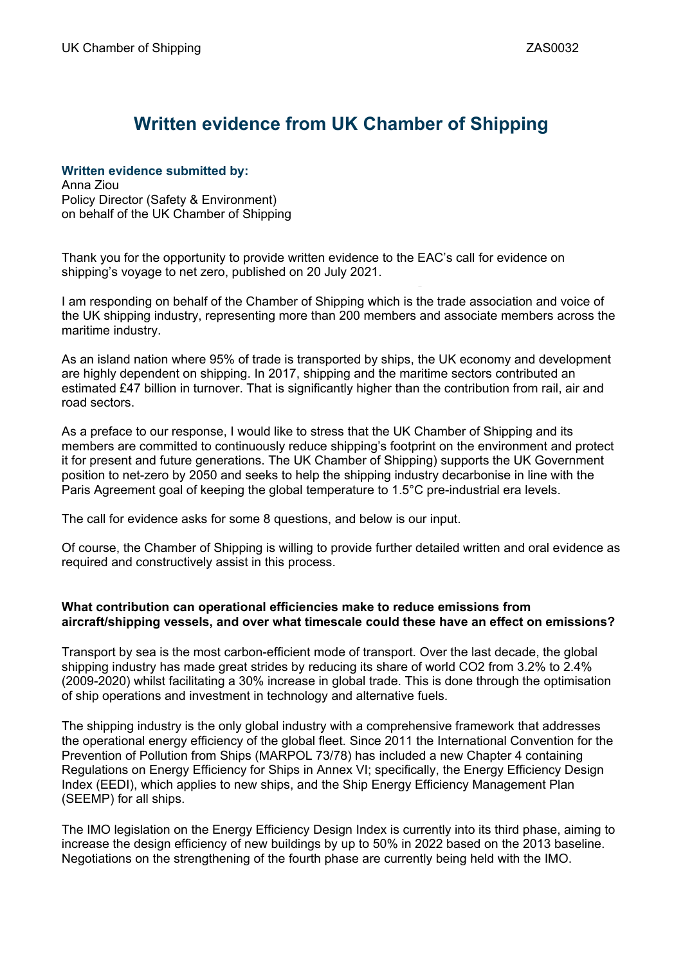# **Written evidence from UK Chamber of Shipping**

# **Written evidence submitted by:**

Anna Ziou Policy Director (Safety & Environment) on behalf of the UK Chamber of Shipping

Thank you for the opportunity to provide written evidence to the EAC's call for evidence on shipping's voyage to net zero, published on 20 July 2021.

I am responding on behalf of the Chamber of Shipping which is the trade association and voice of the UK shipping industry, representing more than 200 members and associate members across the maritime industry.

As an island nation where 95% of trade is transported by ships, the UK economy and development are highly dependent on shipping. In 2017, shipping and the maritime sectors contributed an estimated £47 billion in turnover. That is significantly higher than the contribution from rail, air and road sectors.

As a preface to our response, I would like to stress that the UK Chamber of Shipping and its members are committed to continuously reduce shipping's footprint on the environment and protect it for present and future generations. The UK Chamber of Shipping) supports the UK Government position to net-zero by 2050 and seeks to help the shipping industry decarbonise in line with the Paris Agreement goal of keeping the global temperature to 1.5°C pre-industrial era levels.

The call for evidence asks for some 8 questions, and below is our input.

Of course, the Chamber of Shipping is willing to provide further detailed written and oral evidence as required and constructively assist in this process.

# **What contribution can operational efficiencies make to reduce emissions from aircraft/shipping vessels, and over what timescale could these have an effect on emissions?**

Transport by sea is the most carbon-efficient mode of transport. Over the last decade, the global shipping industry has made great strides by reducing its share of world CO2 from 3.2% to 2.4% (2009-2020) whilst facilitating a 30% increase in global trade. This is done through the optimisation of ship operations and investment in technology and alternative fuels.

The shipping industry is the only global industry with a comprehensive framework that addresses the operational energy efficiency of the global fleet. Since 2011 the International Convention for the Prevention of Pollution from Ships (MARPOL 73/78) has included a new Chapter 4 containing Regulations on Energy Efficiency for Ships in Annex VI; specifically, the Energy Efficiency Design Index (EEDI), which applies to new ships, and the Ship Energy Efficiency Management Plan (SEEMP) for all ships.

The IMO legislation on the Energy Efficiency Design Index is currently into its third phase, aiming to increase the design efficiency of new buildings by up to 50% in 2022 based on the 2013 baseline. Negotiations on the strengthening of the fourth phase are currently being held with the IMO.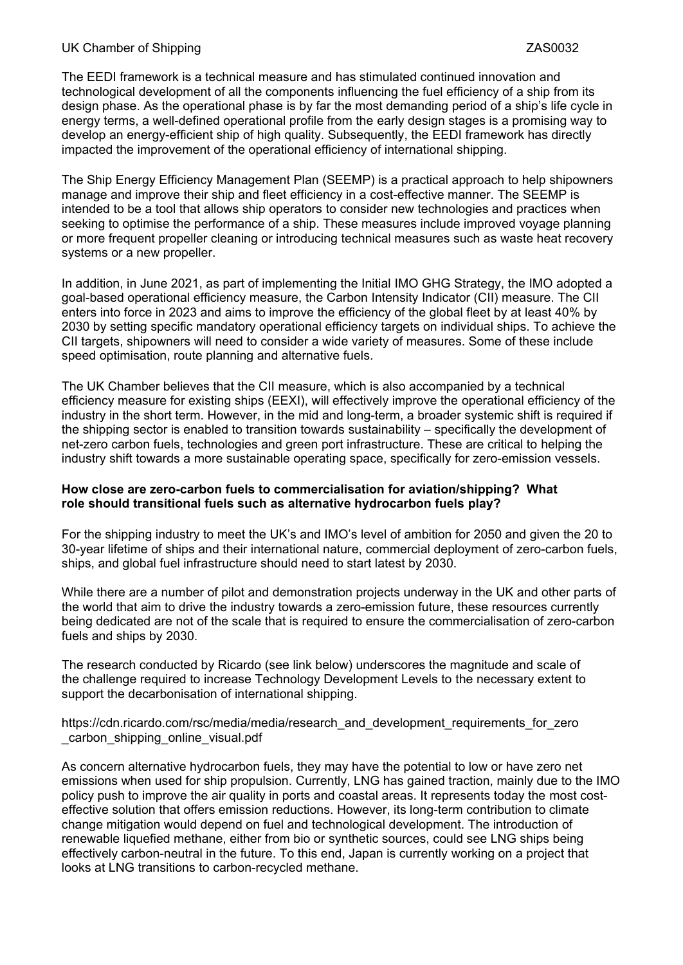# UK Chamber of Shipping ZAS0032

The EEDI framework is a technical measure and has stimulated continued innovation and technological development of all the components influencing the fuel efficiency of a ship from its design phase. As the operational phase is by far the most demanding period of a ship's life cycle in energy terms, a well-defined operational profile from the early design stages is a promising way to develop an energy-efficient ship of high quality. Subsequently, the EEDI framework has directly impacted the improvement of the operational efficiency of international shipping.

The Ship Energy Efficiency Management Plan (SEEMP) is a practical approach to help shipowners manage and improve their ship and fleet efficiency in a cost-effective manner. The SEEMP is intended to be a tool that allows ship operators to consider new technologies and practices when seeking to optimise the performance of a ship. These measures include improved voyage planning or more frequent propeller cleaning or introducing technical measures such as waste heat recovery systems or a new propeller.

In addition, in June 2021, as part of implementing the Initial IMO GHG Strategy, the IMO adopted a goal-based operational efficiency measure, the Carbon Intensity Indicator (CII) measure. The CII enters into force in 2023 and aims to improve the efficiency of the global fleet by at least 40% by 2030 by setting specific mandatory operational efficiency targets on individual ships. To achieve the CII targets, shipowners will need to consider a wide variety of measures. Some of these include speed optimisation, route planning and alternative fuels.

The UK Chamber believes that the CII measure, which is also accompanied by a technical efficiency measure for existing ships (EEXI), will effectively improve the operational efficiency of the industry in the short term. However, in the mid and long-term, a broader systemic shift is required if the shipping sector is enabled to transition towards sustainability – specifically the development of net-zero carbon fuels, technologies and green port infrastructure. These are critical to helping the industry shift towards a more sustainable operating space, specifically for zero-emission vessels.

#### **How close are zero-carbon fuels to commercialisation for aviation/shipping? What role should transitional fuels such as alternative hydrocarbon fuels play?**

For the shipping industry to meet the UK's and IMO's level of ambition for 2050 and given the 20 to 30-year lifetime of ships and their international nature, commercial deployment of zero-carbon fuels, ships, and global fuel infrastructure should need to start latest by 2030.

While there are a number of pilot and demonstration projects underway in the UK and other parts of the world that aim to drive the industry towards a zero-emission future, these resources currently being dedicated are not of the scale that is required to ensure the commercialisation of zero-carbon fuels and ships by 2030.

The research conducted by Ricardo (see link below) underscores the magnitude and scale of the challenge required to increase Technology Development Levels to the necessary extent to support the decarbonisation of international shipping.

https://cdn.ricardo.com/rsc/media/media/research\_and\_development\_requirements\_for\_zero \_carbon\_shipping\_online\_visual.pdf

As concern alternative hydrocarbon fuels, they may have the potential to low or have zero net emissions when used for ship propulsion. Currently, LNG has gained traction, mainly due to the IMO policy push to improve the air quality in ports and coastal areas. It represents today the most costeffective solution that offers emission reductions. However, its long-term contribution to climate change mitigation would depend on fuel and technological development. The introduction of renewable liquefied methane, either from bio or synthetic sources, could see LNG ships being effectively carbon-neutral in the future. To this end, Japan is currently working on a project that looks at LNG transitions to carbon-recycled methane.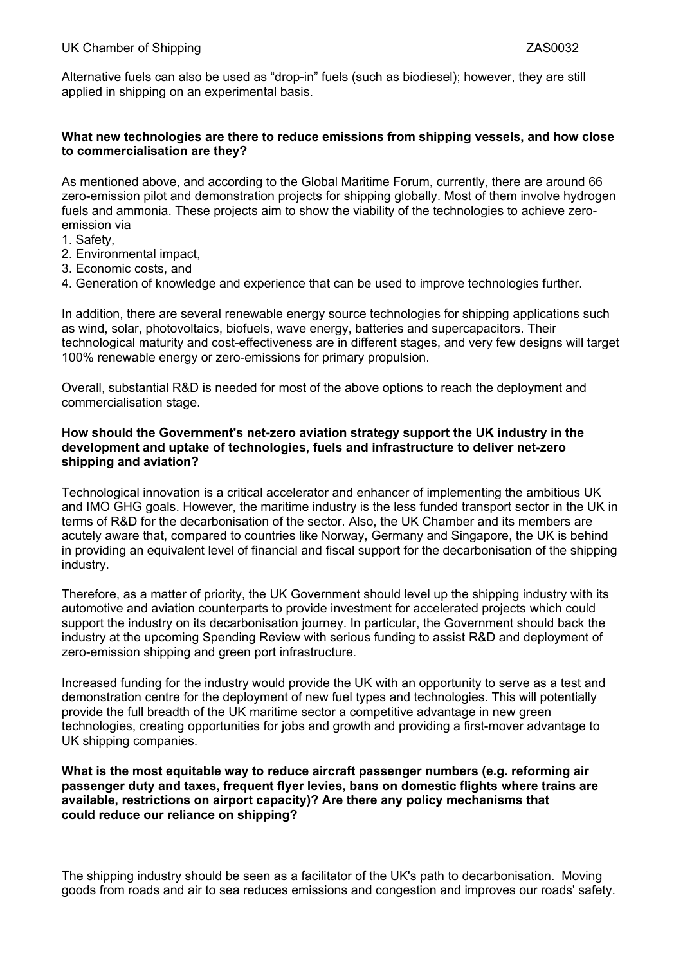Alternative fuels can also be used as "drop-in" fuels (such as biodiesel); however, they are still applied in shipping on an experimental basis.

# **What new technologies are there to reduce emissions from shipping vessels, and how close to commercialisation are they?**

As mentioned above, and according to the Global Maritime Forum, currently, there are around 66 zero-emission pilot and demonstration projects for shipping globally. Most of them involve hydrogen fuels and ammonia. These projects aim to show the viability of the technologies to achieve zeroemission via

- 1. Safety,
- 2. Environmental impact,
- 3. Economic costs, and
- 4. Generation of knowledge and experience that can be used to improve technologies further.

In addition, there are several renewable energy source technologies for shipping applications such as wind, solar, photovoltaics, biofuels, wave energy, batteries and supercapacitors. Their technological maturity and cost-effectiveness are in different stages, and very few designs will target 100% renewable energy or zero-emissions for primary propulsion.

Overall, substantial R&D is needed for most of the above options to reach the deployment and commercialisation stage.

# **How should the Government's net-zero aviation strategy support the UK industry in the development and uptake of technologies, fuels and infrastructure to deliver net-zero shipping and aviation?**

Technological innovation is a critical accelerator and enhancer of implementing the ambitious UK and IMO GHG goals. However, the maritime industry is the less funded transport sector in the UK in terms of R&D for the decarbonisation of the sector. Also, the UK Chamber and its members are acutely aware that, compared to countries like Norway, Germany and Singapore, the UK is behind in providing an equivalent level of financial and fiscal support for the decarbonisation of the shipping industry.

Therefore, as a matter of priority, the UK Government should level up the shipping industry with its automotive and aviation counterparts to provide investment for accelerated projects which could support the industry on its decarbonisation journey. In particular, the Government should back the industry at the upcoming Spending Review with serious funding to assist R&D and deployment of zero-emission shipping and green port infrastructure.

Increased funding for the industry would provide the UK with an opportunity to serve as a test and demonstration centre for the deployment of new fuel types and technologies. This will potentially provide the full breadth of the UK maritime sector a competitive advantage in new green technologies, creating opportunities for jobs and growth and providing a first-mover advantage to UK shipping companies.

**What is the most equitable way to reduce aircraft passenger numbers (e.g. reforming air passenger duty and taxes, frequent flyer levies, bans on domestic flights where trains are available, restrictions on airport capacity)? Are there any policy mechanisms that could reduce our reliance on shipping?**

The shipping industry should be seen as a facilitator of the UK's path to decarbonisation. Moving goods from roads and air to sea reduces emissions and congestion and improves our roads' safety.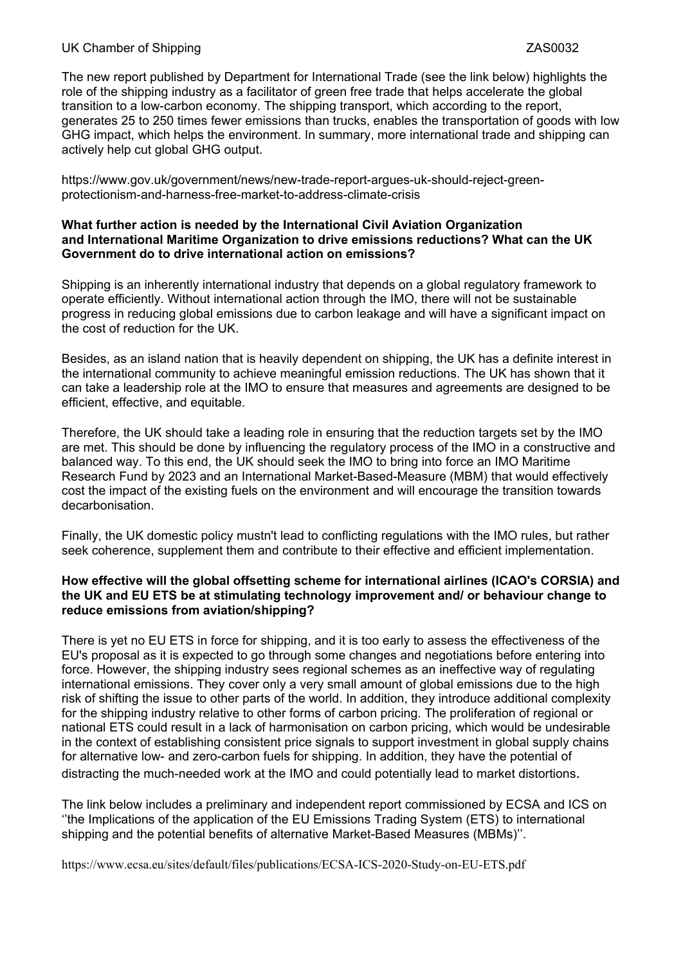# UK Chamber of Shipping ZAS0032

The new report published by Department for International Trade (see the link below) highlights the role of the shipping industry as a facilitator of green free trade that helps accelerate the global transition to a low-carbon economy. The shipping transport, which according to the report, generates 25 to 250 times fewer emissions than trucks, enables the transportation of goods with low GHG impact, which helps the environment. In summary, more international trade and shipping can actively help cut global GHG output.

https://www.gov.uk/government/news/new-trade-report-argues-uk-should-reject-greenprotectionism-and-harness-free-market-to-address-climate-crisis

#### **What further action is needed by the International Civil Aviation Organization and International Maritime Organization to drive emissions reductions? What can the UK Government do to drive international action on emissions?**

Shipping is an inherently international industry that depends on a global regulatory framework to operate efficiently. Without international action through the IMO, there will not be sustainable progress in reducing global emissions due to carbon leakage and will have a significant impact on the cost of reduction for the UK.

Besides, as an island nation that is heavily dependent on shipping, the UK has a definite interest in the international community to achieve meaningful emission reductions. The UK has shown that it can take a leadership role at the IMO to ensure that measures and agreements are designed to be efficient, effective, and equitable.

Therefore, the UK should take a leading role in ensuring that the reduction targets set by the IMO are met. This should be done by influencing the regulatory process of the IMO in a constructive and balanced way. To this end, the UK should seek the IMO to bring into force an IMO Maritime Research Fund by 2023 and an International Market-Based-Measure (MBM) that would effectively cost the impact of the existing fuels on the environment and will encourage the transition towards decarbonisation.

Finally, the UK domestic policy mustn't lead to conflicting regulations with the IMO rules, but rather seek coherence, supplement them and contribute to their effective and efficient implementation.

# **How effective will the global offsetting scheme for international airlines (ICAO's CORSIA) and the UK and EU ETS be at stimulating technology improvement and/ or behaviour change to reduce emissions from aviation/shipping?**

There is yet no EU ETS in force for shipping, and it is too early to assess the effectiveness of the EU's proposal as it is expected to go through some changes and negotiations before entering into force. However, the shipping industry sees regional schemes as an ineffective way of regulating international emissions. They cover only a very small amount of global emissions due to the high risk of shifting the issue to other parts of the world. In addition, they introduce additional complexity for the shipping industry relative to other forms of carbon pricing. The proliferation of regional or national ETS could result in a lack of harmonisation on carbon pricing, which would be undesirable in the context of establishing consistent price signals to support investment in global supply chains for alternative low- and zero-carbon fuels for shipping. In addition, they have the potential of distracting the much-needed work at the IMO and could potentially lead to market distortions.

The link below includes a preliminary and independent report commissioned by ECSA and ICS on ''the Implications of the application of the EU Emissions Trading System (ETS) to international shipping and the potential benefits of alternative Market-Based Measures (MBMs)''.

<https://www.ecsa.eu/sites/default/files/publications/ECSA-ICS-2020-Study-on-EU-ETS.pdf>